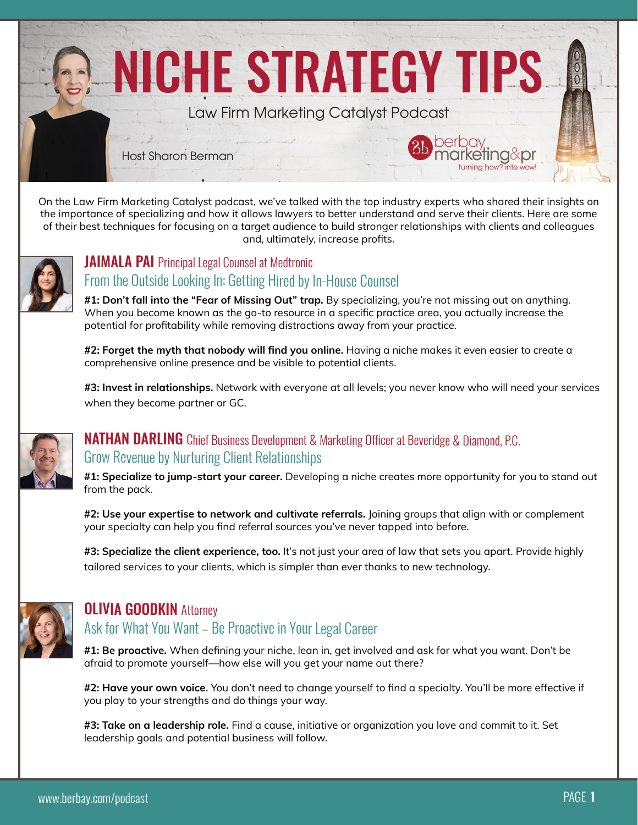

On the Law Firm Marketing Catalyst podcast, we've talked with the top industry experts who shared their insights on the importance of specializing and how it allows lawyers to better understand and serve their clients. Here are some of their best techniques for focusing on a target audience to build stronger relationships with clients and colleagues and, ultimately, increase profits.



#### **JAIMALA PAI** Principal Legal Counsel at Medtronic From the Outside Looking In: Getting Hired by In-House Counsel

**#1: Don't fall into the "Fear of Missing Out" trap.** By specializing, you're not missing out on anything. When you become known as the go-to resource in a specific practice area, you actually increase the potential for profitability while removing distractions away from your practice.

**#2: Forget the myth that nobody will find you online.** Having a niche makes it even easier to create a comprehensive online presence and be visible to potential clients.

**#3: Invest in relationships.** Network with everyone at all levels; you never know who will need your services when they become partner or GC.



## **NATHAN DARLING** Chief Business Development & Marketing Officer at Beveridge & Diamond, P.C. Grow Revenue by Nurturing Client Relationships

**#1: Specialize to jump-start your career.** Developing a niche creates more opportunity for you to stand out from the pack.

**#2: Use your expertise to network and cultivate referrals.** Joining groups that align with or complement your specialty can help you find referral sources you've never tapped into before.

**#3: Specialize the client experience, too.** It's not just your area of law that sets you apart. Provide highly tailored services to your clients, which is simpler than ever thanks to new technology.



### **OLIVIA GOODKIN Attorney**

## Ask for What You Want – Be Proactive in Your Legal Career

**#1: Be proactive.** When defining your niche, lean in, get involved and ask for what you want. Don't be afraid to promote yourself—how else will you get your name out there?

**#2: Have your own voice.** You don't need to change yourself to find a specialty. You'll be more effective if you play to your strengths and do things your way.

**#3: Take on a leadership role.** Find a cause, initiative or organization you love and commit to it. Set leadership goals and potential business will follow.